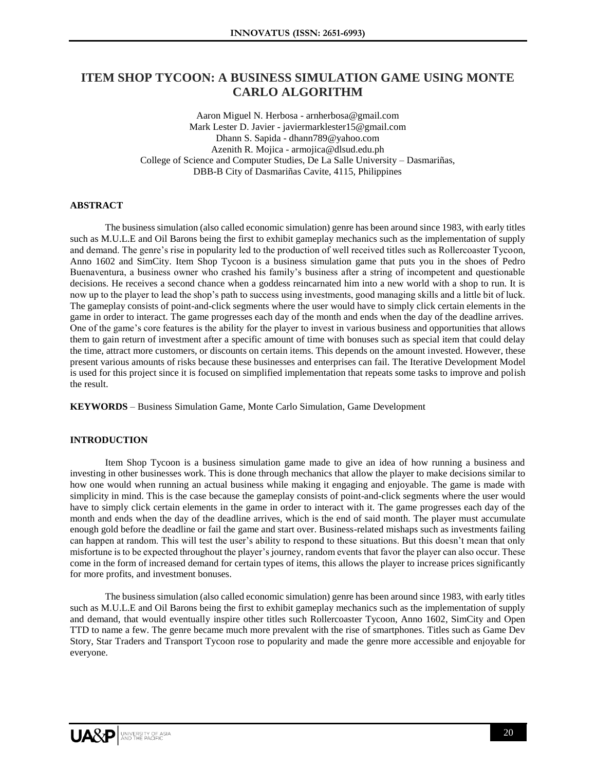# **ITEM SHOP TYCOON: A BUSINESS SIMULATION GAME USING MONTE CARLO ALGORITHM**

Aaron Miguel N. Herbosa - arnherbosa@gmail.com Mark Lester D. Javier - javiermarklester15@gmail.com Dhann S. Sapida - dhann789@yahoo.com Azenith R. Mojica - armojica@dlsud.edu.ph College of Science and Computer Studies, De La Salle University – Dasmariñas, DBB-B City of Dasmariñas Cavite, 4115, Philippines

### **ABSTRACT**

The business simulation (also called economic simulation) genre has been around since 1983, with early titles such as M.U.L.E and Oil Barons being the first to exhibit gameplay mechanics such as the implementation of supply and demand. The genre's rise in popularity led to the production of well received titles such as Rollercoaster Tycoon, Anno 1602 and SimCity. Item Shop Tycoon is a business simulation game that puts you in the shoes of Pedro Buenaventura, a business owner who crashed his family's business after a string of incompetent and questionable decisions. He receives a second chance when a goddess reincarnated him into a new world with a shop to run. It is now up to the player to lead the shop's path to success using investments, good managing skills and a little bit of luck. The gameplay consists of point-and-click segments where the user would have to simply click certain elements in the game in order to interact. The game progresses each day of the month and ends when the day of the deadline arrives. One of the game's core features is the ability for the player to invest in various business and opportunities that allows them to gain return of investment after a specific amount of time with bonuses such as special item that could delay the time, attract more customers, or discounts on certain items. This depends on the amount invested. However, these present various amounts of risks because these businesses and enterprises can fail. The Iterative Development Model is used for this project since it is focused on simplified implementation that repeats some tasks to improve and polish the result.

**KEYWORDS** – Business Simulation Game, Monte Carlo Simulation, Game Development

### **INTRODUCTION**

Item Shop Tycoon is a business simulation game made to give an idea of how running a business and investing in other businesses work. This is done through mechanics that allow the player to make decisions similar to how one would when running an actual business while making it engaging and enjoyable. The game is made with simplicity in mind. This is the case because the gameplay consists of point-and-click segments where the user would have to simply click certain elements in the game in order to interact with it. The game progresses each day of the month and ends when the day of the deadline arrives, which is the end of said month. The player must accumulate enough gold before the deadline or fail the game and start over. Business-related mishaps such as investments failing can happen at random. This will test the user's ability to respond to these situations. But this doesn't mean that only misfortune is to be expected throughout the player's journey, random events that favor the player can also occur. These come in the form of increased demand for certain types of items, this allows the player to increase prices significantly for more profits, and investment bonuses.

The business simulation (also called economic simulation) genre has been around since 1983, with early titles such as M.U.L.E and Oil Barons being the first to exhibit gameplay mechanics such as the implementation of supply and demand, that would eventually inspire other titles such Rollercoaster Tycoon, Anno 1602, SimCity and Open TTD to name a few. The genre became much more prevalent with the rise of smartphones. Titles such as Game Dev Story, Star Traders and Transport Tycoon rose to popularity and made the genre more accessible and enjoyable for everyone.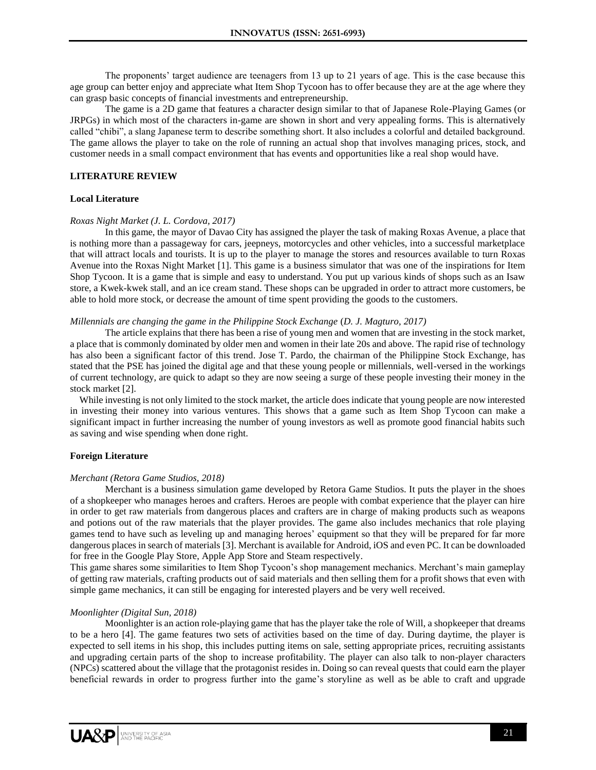The proponents' target audience are teenagers from 13 up to 21 years of age. This is the case because this age group can better enjoy and appreciate what Item Shop Tycoon has to offer because they are at the age where they can grasp basic concepts of financial investments and entrepreneurship.

The game is a 2D game that features a character design similar to that of Japanese Role-Playing Games (or JRPGs) in which most of the characters in-game are shown in short and very appealing forms. This is alternatively called "chibi", a slang Japanese term to describe something short. It also includes a colorful and detailed background. The game allows the player to take on the role of running an actual shop that involves managing prices, stock, and customer needs in a small compact environment that has events and opportunities like a real shop would have.

# **LITERATURE REVIEW**

# **Local Literature**

### *Roxas Night Market (J. L. Cordova, 2017)*

In this game, the mayor of Davao City has assigned the player the task of making Roxas Avenue, a place that is nothing more than a passageway for cars, jeepneys, motorcycles and other vehicles, into a successful marketplace that will attract locals and tourists. It is up to the player to manage the stores and resources available to turn Roxas Avenue into the Roxas Night Market [1]. This game is a business simulator that was one of the inspirations for Item Shop Tycoon. It is a game that is simple and easy to understand. You put up various kinds of shops such as an Isaw store, a Kwek-kwek stall, and an ice cream stand. These shops can be upgraded in order to attract more customers, be able to hold more stock, or decrease the amount of time spent providing the goods to the customers.

# *Millennials are changing the game in the Philippine Stock Exchange* (*D. J. Magturo, 2017)*

The article explains that there has been a rise of young men and women that are investing in the stock market, a place that is commonly dominated by older men and women in their late 20s and above. The rapid rise of technology has also been a significant factor of this trend. Jose T. Pardo, the chairman of the Philippine Stock Exchange, has stated that the PSE has joined the digital age and that these young people or millennials, well-versed in the workings of current technology, are quick to adapt so they are now seeing a surge of these people investing their money in the stock market [2].

 While investing is not only limited to the stock market, the article does indicate that young people are now interested in investing their money into various ventures. This shows that a game such as Item Shop Tycoon can make a significant impact in further increasing the number of young investors as well as promote good financial habits such as saving and wise spending when done right.

### **Foreign Literature**

### *Merchant (Retora Game Studios, 2018)*

Merchant is a business simulation game developed by Retora Game Studios. It puts the player in the shoes of a shopkeeper who manages heroes and crafters. Heroes are people with combat experience that the player can hire in order to get raw materials from dangerous places and crafters are in charge of making products such as weapons and potions out of the raw materials that the player provides. The game also includes mechanics that role playing games tend to have such as leveling up and managing heroes' equipment so that they will be prepared for far more dangerous places in search of materials [3]. Merchant is available for Android, iOS and even PC. It can be downloaded for free in the Google Play Store, Apple App Store and Steam respectively.

This game shares some similarities to Item Shop Tycoon's shop management mechanics. Merchant's main gameplay of getting raw materials, crafting products out of said materials and then selling them for a profit shows that even with simple game mechanics, it can still be engaging for interested players and be very well received.

### *Moonlighter (Digital Sun, 2018)*

Moonlighter is an action role-playing game that has the player take the role of Will, a shopkeeper that dreams to be a hero [4]. The game features two sets of activities based on the time of day. During daytime, the player is expected to sell items in his shop, this includes putting items on sale, setting appropriate prices, recruiting assistants and upgrading certain parts of the shop to increase profitability. The player can also talk to non-player characters (NPCs) scattered about the village that the protagonist resides in. Doing so can reveal quests that could earn the player beneficial rewards in order to progress further into the game's storyline as well as be able to craft and upgrade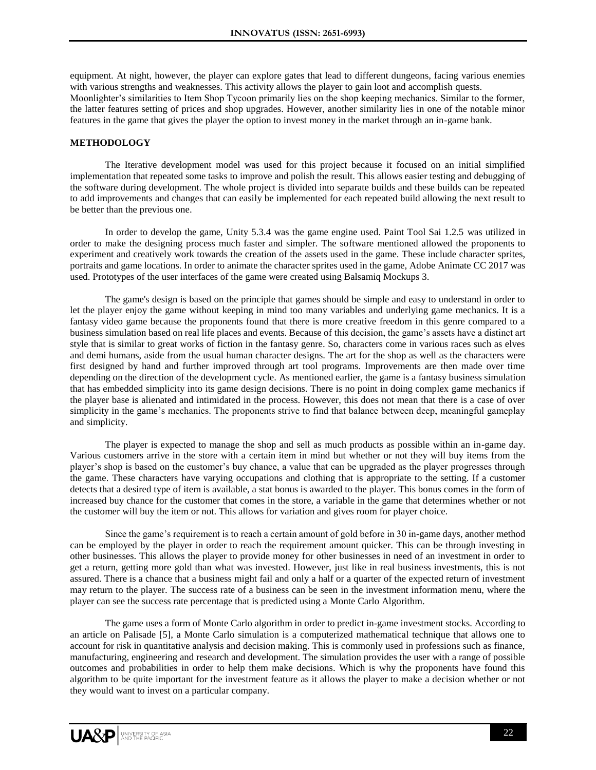equipment. At night, however, the player can explore gates that lead to different dungeons, facing various enemies with various strengths and weaknesses. This activity allows the player to gain loot and accomplish quests. Moonlighter's similarities to Item Shop Tycoon primarily lies on the shop keeping mechanics. Similar to the former, the latter features setting of prices and shop upgrades. However, another similarity lies in one of the notable minor features in the game that gives the player the option to invest money in the market through an in-game bank.

# **METHODOLOGY**

The Iterative development model was used for this project because it focused on an initial simplified implementation that repeated some tasks to improve and polish the result. This allows easier testing and debugging of the software during development. The whole project is divided into separate builds and these builds can be repeated to add improvements and changes that can easily be implemented for each repeated build allowing the next result to be better than the previous one.

In order to develop the game, Unity 5.3.4 was the game engine used. Paint Tool Sai 1.2.5 was utilized in order to make the designing process much faster and simpler. The software mentioned allowed the proponents to experiment and creatively work towards the creation of the assets used in the game. These include character sprites, portraits and game locations. In order to animate the character sprites used in the game, Adobe Animate CC 2017 was used. Prototypes of the user interfaces of the game were created using Balsamiq Mockups 3.

The game's design is based on the principle that games should be simple and easy to understand in order to let the player enjoy the game without keeping in mind too many variables and underlying game mechanics. It is a fantasy video game because the proponents found that there is more creative freedom in this genre compared to a business simulation based on real life places and events. Because of this decision, the game's assets have a distinct art style that is similar to great works of fiction in the fantasy genre. So, characters come in various races such as elves and demi humans, aside from the usual human character designs. The art for the shop as well as the characters were first designed by hand and further improved through art tool programs. Improvements are then made over time depending on the direction of the development cycle. As mentioned earlier, the game is a fantasy business simulation that has embedded simplicity into its game design decisions. There is no point in doing complex game mechanics if the player base is alienated and intimidated in the process. However, this does not mean that there is a case of over simplicity in the game's mechanics. The proponents strive to find that balance between deep, meaningful gameplay and simplicity.

The player is expected to manage the shop and sell as much products as possible within an in-game day. Various customers arrive in the store with a certain item in mind but whether or not they will buy items from the player's shop is based on the customer's buy chance, a value that can be upgraded as the player progresses through the game. These characters have varying occupations and clothing that is appropriate to the setting. If a customer detects that a desired type of item is available, a stat bonus is awarded to the player. This bonus comes in the form of increased buy chance for the customer that comes in the store, a variable in the game that determines whether or not the customer will buy the item or not. This allows for variation and gives room for player choice.

Since the game's requirement is to reach a certain amount of gold before in 30 in-game days, another method can be employed by the player in order to reach the requirement amount quicker. This can be through investing in other businesses. This allows the player to provide money for other businesses in need of an investment in order to get a return, getting more gold than what was invested. However, just like in real business investments, this is not assured. There is a chance that a business might fail and only a half or a quarter of the expected return of investment may return to the player. The success rate of a business can be seen in the investment information menu, where the player can see the success rate percentage that is predicted using a Monte Carlo Algorithm.

The game uses a form of Monte Carlo algorithm in order to predict in-game investment stocks. According to an article on Palisade [5], a Monte Carlo simulation is a computerized mathematical technique that allows one to account for risk in quantitative analysis and decision making. This is commonly used in professions such as finance, manufacturing, engineering and research and development. The simulation provides the user with a range of possible outcomes and probabilities in order to help them make decisions. Which is why the proponents have found this algorithm to be quite important for the investment feature as it allows the player to make a decision whether or not they would want to invest on a particular company.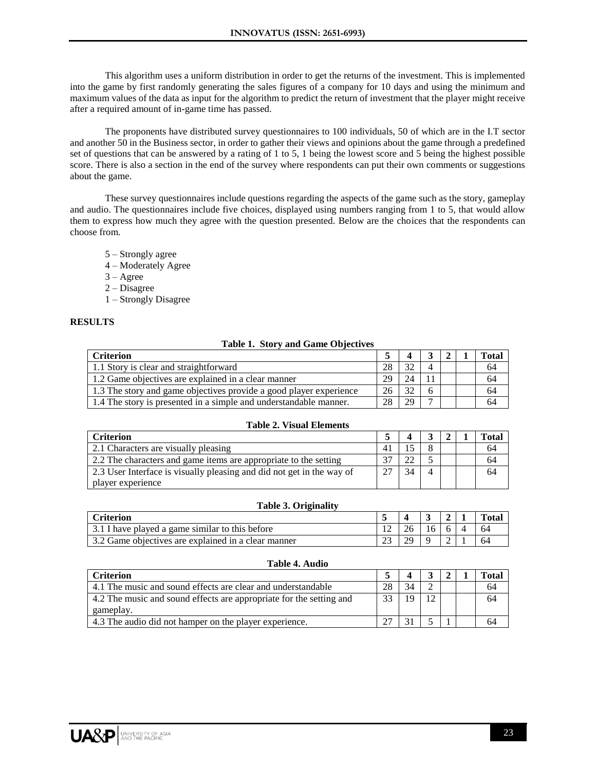This algorithm uses a uniform distribution in order to get the returns of the investment. This is implemented into the game by first randomly generating the sales figures of a company for 10 days and using the minimum and maximum values of the data as input for the algorithm to predict the return of investment that the player might receive after a required amount of in-game time has passed.

The proponents have distributed survey questionnaires to 100 individuals, 50 of which are in the I.T sector and another 50 in the Business sector, in order to gather their views and opinions about the game through a predefined set of questions that can be answered by a rating of 1 to 5, 1 being the lowest score and 5 being the highest possible score. There is also a section in the end of the survey where respondents can put their own comments or suggestions about the game.

These survey questionnaires include questions regarding the aspects of the game such as the story, gameplay and audio. The questionnaires include five choices, displayed using numbers ranging from 1 to 5, that would allow them to express how much they agree with the question presented. Below are the choices that the respondents can choose from.

- 5 Strongly agree
- 4 Moderately Agree
- $3 \text{Agree}$
- 2 Disagree
- 1 Strongly Disagree

# **RESULTS**

### **Table 1. Story and Game Objectives**

| <b>Criterion</b>                                                   |    |    |  | Total |
|--------------------------------------------------------------------|----|----|--|-------|
| 1.1 Story is clear and straightforward                             | 28 |    |  | 64    |
| 1.2 Game objectives are explained in a clear manner                | 29 |    |  | 64    |
| 1.3 The story and game objectives provide a good player experience | 26 |    |  | 64    |
| 1.4 The story is presented in a simple and understandable manner.  | 28 | 29 |  | 64    |

#### **Table 2. Visual Elements**

| Criterion                                                             |    |  | Total |
|-----------------------------------------------------------------------|----|--|-------|
| 2.1 Characters are visually pleasing                                  |    |  | 64    |
| 2.2 The characters and game items are appropriate to the setting      |    |  | 64    |
| 2.3 User Interface is visually pleasing and did not get in the way of | 34 |  | 64    |
| player experience                                                     |    |  |       |

### **Table 3. Originality**

| Criterion                                             |  |    |  | <b>Total</b> |
|-------------------------------------------------------|--|----|--|--------------|
| 3.1 I have played a game similar to this before       |  | 16 |  | 64           |
| 1.3.2 Game objectives are explained in a clear manner |  |    |  | 64           |

#### **Criterion 5 4 3 2 1 Total** 4.1 The music and sound effects are clear and understandable 28 34 2 64 4.2 The music and sound effects are appropriate for the setting and gameplay. 33 19 12 64 4.3 The audio did not hamper on the player experience. 27 31 5 1 64

## **Table 4. Audio**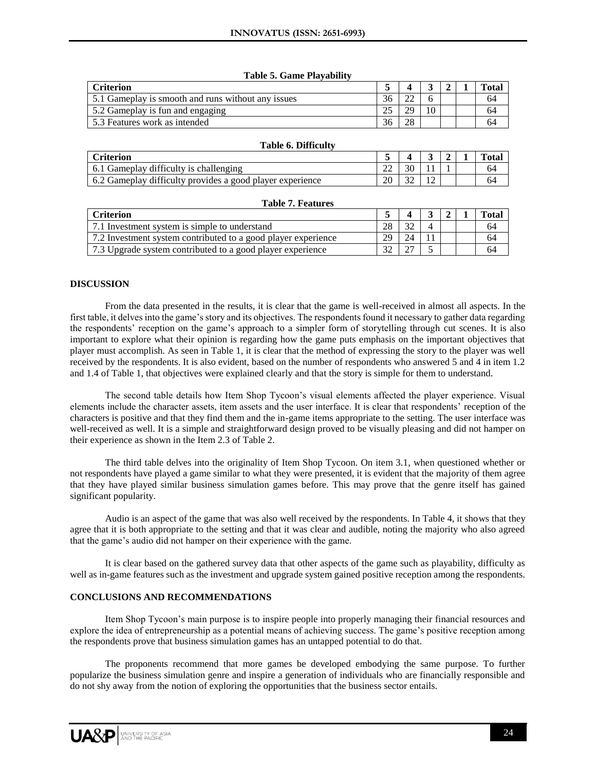#### **Table 5. Game Playability**

| <b>Criterion</b>                                   |  |  | Total |
|----------------------------------------------------|--|--|-------|
| 5.1 Gameplay is smooth and runs without any issues |  |  | 64    |
| 5.2 Gameplay is fun and engaging                   |  |  | 64    |
| 5.3 Features work as intended                      |  |  | 64    |

|  |  | Total |
|--|--|-------|
|  |  | 64    |
|  |  | 64    |
|  |  |       |

#### **Table 7. Features**

| <b>Criterion</b>                                              |     |  |  | <b>Total</b> |
|---------------------------------------------------------------|-----|--|--|--------------|
| 7.1 Investment system is simple to understand                 |     |  |  | 64           |
| 7.2 Investment system contributed to a good player experience | 20. |  |  | 64           |
| 7.3 Upgrade system contributed to a good player experience    |     |  |  | 64           |

# **DISCUSSION**

From the data presented in the results, it is clear that the game is well-received in almost all aspects. In the first table, it delves into the game's story and its objectives. The respondents found it necessary to gather data regarding the respondents' reception on the game's approach to a simpler form of storytelling through cut scenes. It is also important to explore what their opinion is regarding how the game puts emphasis on the important objectives that player must accomplish. As seen in Table 1, it is clear that the method of expressing the story to the player was well received by the respondents. It is also evident, based on the number of respondents who answered 5 and 4 in item 1.2 and 1.4 of Table 1, that objectives were explained clearly and that the story is simple for them to understand.

The second table details how Item Shop Tycoon's visual elements affected the player experience. Visual elements include the character assets, item assets and the user interface. It is clear that respondents' reception of the characters is positive and that they find them and the in-game items appropriate to the setting. The user interface was well-received as well. It is a simple and straightforward design proved to be visually pleasing and did not hamper on their experience as shown in the Item 2.3 of Table 2.

The third table delves into the originality of Item Shop Tycoon. On item 3.1, when questioned whether or not respondents have played a game similar to what they were presented, it is evident that the majority of them agree that they have played similar business simulation games before. This may prove that the genre itself has gained significant popularity.

Audio is an aspect of the game that was also well received by the respondents. In Table 4, it shows that they agree that it is both appropriate to the setting and that it was clear and audible, noting the majority who also agreed that the game's audio did not hamper on their experience with the game.

It is clear based on the gathered survey data that other aspects of the game such as playability, difficulty as well as in-game features such as the investment and upgrade system gained positive reception among the respondents.

# **CONCLUSIONS AND RECOMMENDATIONS**

Item Shop Tycoon's main purpose is to inspire people into properly managing their financial resources and explore the idea of entrepreneurship as a potential means of achieving success. The game's positive reception among the respondents prove that business simulation games has an untapped potential to do that.

The proponents recommend that more games be developed embodying the same purpose. To further popularize the business simulation genre and inspire a generation of individuals who are financially responsible and do not shy away from the notion of exploring the opportunities that the business sector entails.